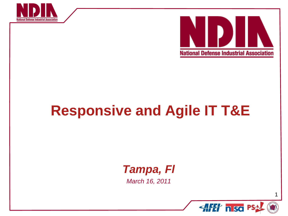



# **Responsive and Agile IT T&E**

### *Tampa, Fl*

*March 16, 2011* 

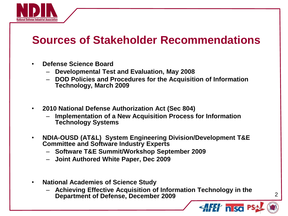

### **Sources of Stakeholder Recommendations**

- **Defense Science Board**
	- **Developmental Test and Evaluation, May 2008**
	- **DOD Policies and Procedures for the Acquisition of Information Technology, March 2009**
- **2010 National Defense Authorization Act (Sec 804)**
	- **Implementation of a New Acquisition Process for Information Technology Systems**
- **NDIA-OUSD (AT&L) System Engineering Division/Development T&E Committee and Software Industry Experts** 
	- **Software T&E Summit/Workshop September 2009**
	- **Joint Authored White Paper, Dec 2009**
- **National Academies of Science Study** 
	- **Achieving Effective Acquisition of Information Technology in the Department of Defense, December 2009**

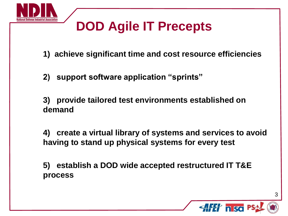

# **DOD Agile IT Precepts**

**1) achieve significant time and cost resource efficiencies**

**2) support software application "sprints"**

**3) provide tailored test environments established on demand**

**4) create a virtual library of systems and services to avoid having to stand up physical systems for every test**

**5) establish a DOD wide accepted restructured IT T&E process** 

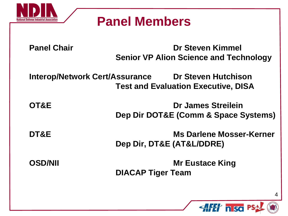

## **Panel Members**

**Panel Chair Dr Steven Kimmel Senior VP Alion Science and Technology**

**Interop/Network Cert/Assurance Dr Steven Hutchison Test and Evaluation Executive, DISA**

**OT&E Dr James Streilein Dep Dir DOT&E (Comm & Space Systems)**

**DT&E Ms Darlene Mosser-Kerner Dep Dir, DT&E (AT&L/DDRE)**

**OSD/NII Mr Eustace King DIACAP Tiger Team**

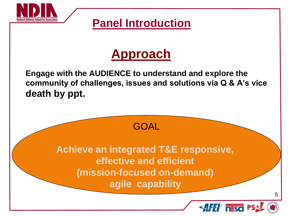

### **Panel Introduction**

## **Approach**

**Engage with the AUDIENCE to understand and explore the community of challenges, issues and solutions via Q & A's vice death by ppt.**

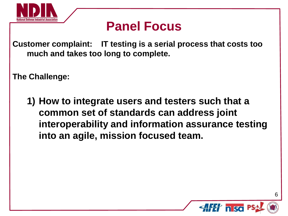

## **Panel Focus**

**Customer complaint: IT testing is a serial process that costs too much and takes too long to complete.**

**The Challenge:** 

**1) How to integrate users and testers such that a common set of standards can address joint interoperability and information assurance testing into an agile, mission focused team.**

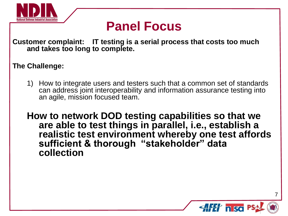

## **Panel Focus**

**Customer complaint: IT testing is a serial process that costs too much and takes too long to complete.**

#### **The Challenge:**

1) How to integrate users and testers such that a common set of standards can address joint interoperability and information assurance testing into an agile, mission focused team.

**How to network DOD testing capabilities so that we are able to test things in parallel, i.e., establish a realistic test environment whereby one test affords sufficient & thorough "stakeholder" data collection**

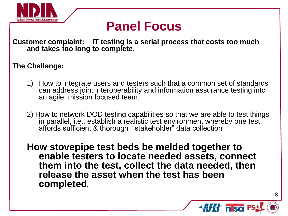

## **Panel Focus**

**Customer complaint: IT testing is a serial process that costs too much and takes too long to complete.**

#### **The Challenge:**

- 1) How to integrate users and testers such that a common set of standards can address joint interoperability and information assurance testing into an agile, mission focused team.
- 2) How to network DOD testing capabilities so that we are able to test things in parallel, i.e., establish a realistic test environment whereby one test affords sufficient & thorough "stakeholder" data collection

**How stovepipe test beds be melded together to enable testers to locate needed assets, connect them into the test, collect the data needed, then release the asset when the test has been completed.**

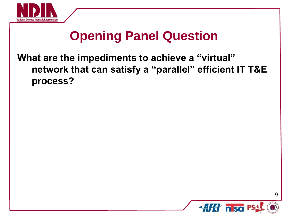

# **Opening Panel Question**

### **What are the impediments to achieve a "virtual" network that can satisfy a "parallel" efficient IT T&E process?**

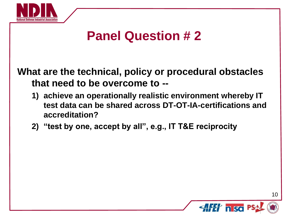

## **Panel Question # 2**

**What are the technical, policy or procedural obstacles that need to be overcome to --**

- **1) achieve an operationally realistic environment whereby IT test data can be shared across DT-OT-IA-certifications and accreditation?**
- **2) "test by one, accept by all", e.g., IT T&E reciprocity**

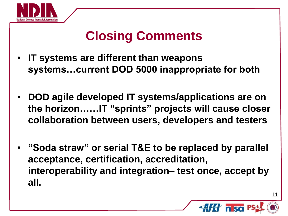

# **Closing Comments**

- **IT systems are different than weapons systems…current DOD 5000 inappropriate for both**
- **DOD agile developed IT systems/applications are on the horizon……IT "sprints" projects will cause closer collaboration between users, developers and testers**
- **"Soda straw" or serial T&E to be replaced by parallel acceptance, certification, accreditation, interoperability and integration– test once, accept by all.**